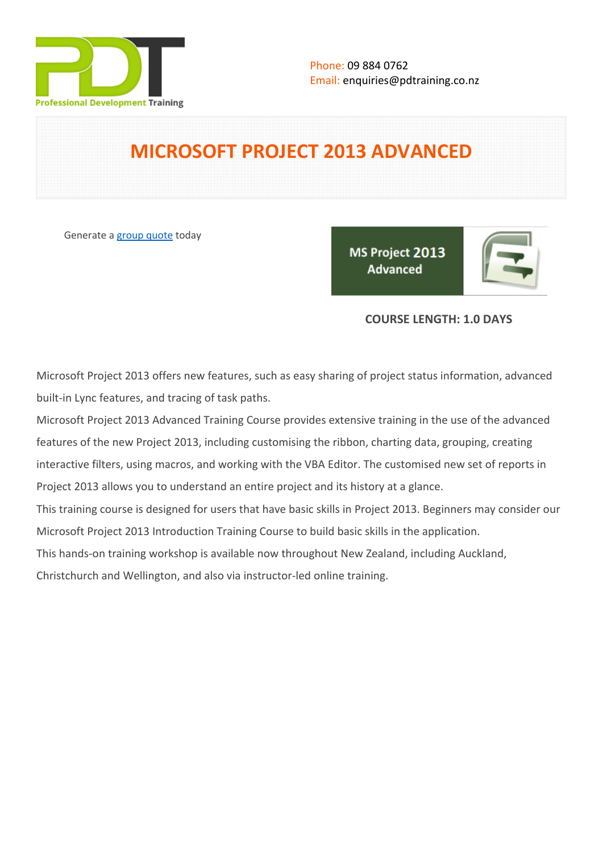

# **MICROSOFT PROJECT 2013 ADVANCED**

Generate a [group quote](https://pdtraining.co.nz/inhouse-training-quote?cse=PDT992CC) today

MS Project 2013 **Advanced** 

# **COURSE LENGTH: 1.0 DAYS**

Microsoft Project 2013 offers new features, such as easy sharing of project status information, advanced built-in Lync features, and tracing of task paths.

Microsoft Project 2013 Advanced Training Course provides extensive training in the use of the advanced features of the new Project 2013, including customising the ribbon, charting data, grouping, creating interactive filters, using macros, and working with the VBA Editor. The customised new set of reports in Project 2013 allows you to understand an entire project and its history at a glance.

This training course is designed for users that have basic skills in Project 2013. Beginners may consider our [Microsoft Project 2013 Introduction Training Course](https://pdtraining.co.nz/courses/microsoft-project-2013-introduction-course) to build basic skills in the application.

This hands-on training workshop is available now throughout New Zealand, including Auckland,

Christchurch and Wellington, and also via instructor-led online training.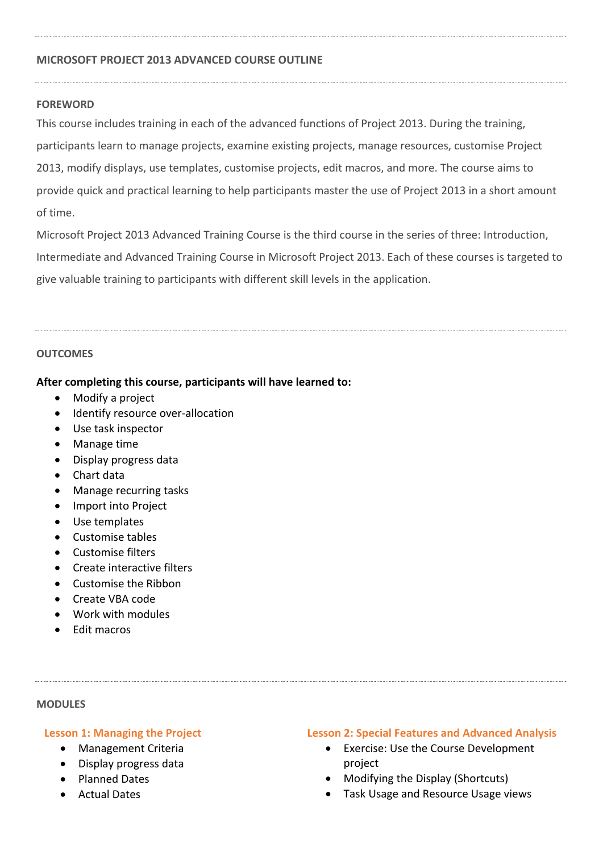## **MICROSOFT PROJECT 2013 ADVANCED COURSE OUTLINE**

#### **FOREWORD**

This course includes training in each of the advanced functions of Project 2013. During the training, participants learn to manage projects, examine existing projects, manage resources, customise Project 2013, modify displays, use templates, customise projects, edit macros, and more. The course aims to provide quick and practical learning to help participants master the use of Project 2013 in a short amount of time.

Microsoft Project 2013 Advanced Training Course is the third course in the series of three: Introduction, Intermediate and Advanced Training Course in Microsoft Project 2013. Each of these courses is targeted to give valuable training to participants with different skill levels in the application.

#### **OUTCOMES**

#### **After completing this course, participants will have learned to:**

- Modify a project
- Identify resource over-allocation
- Use task inspector
- Manage time
- Display progress data
- Chart data
- Manage recurring tasks
- Import into Project
- Use templates
- Customise tables
- Customise filters
- Create interactive filters
- Customise the Ribbon
- Create VBA code
- Work with modules
- Edit macros

#### **MODULES**

#### **Lesson 1: Managing the Project**

- Management Criteria
- Display progress data
- Planned Dates
- Actual Dates

#### **Lesson 2: Special Features and Advanced Analysis**

- Exercise: Use the Course Development project
- Modifying the Display (Shortcuts)
- Task Usage and Resource Usage views